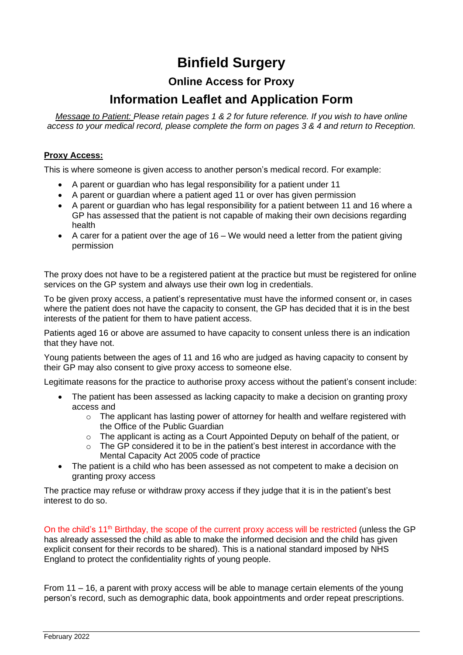# **Binfield Surgery**

## **Online Access for Proxy**

## **Information Leaflet and Application Form**

*Message to Patient: Please retain pages 1 & 2 for future reference. If you wish to have online access to your medical record, please complete the form on pages 3 & 4 and return to Reception.*

#### **Proxy Access:**

This is where someone is given access to another person's medical record. For example:

- A parent or guardian who has legal responsibility for a patient under 11
- A parent or guardian where a patient aged 11 or over has given permission
- A parent or guardian who has legal responsibility for a patient between 11 and 16 where a GP has assessed that the patient is not capable of making their own decisions regarding health
- $\bullet$  A carer for a patient over the age of 16 We would need a letter from the patient giving permission

The proxy does not have to be a registered patient at the practice but must be registered for online services on the GP system and always use their own log in credentials.

To be given proxy access, a patient's representative must have the informed consent or, in cases where the patient does not have the capacity to consent, the GP has decided that it is in the best interests of the patient for them to have patient access.

Patients aged 16 or above are assumed to have capacity to consent unless there is an indication that they have not.

Young patients between the ages of 11 and 16 who are judged as having capacity to consent by their GP may also consent to give proxy access to someone else.

Legitimate reasons for the practice to authorise proxy access without the patient's consent include:

- The patient has been assessed as lacking capacity to make a decision on granting proxy access and
	- $\circ$  The applicant has lasting power of attorney for health and welfare registered with the Office of the Public Guardian
	- o The applicant is acting as a Court Appointed Deputy on behalf of the patient, or
	- o The GP considered it to be in the patient's best interest in accordance with the Mental Capacity Act 2005 code of practice
- The patient is a child who has been assessed as not competent to make a decision on granting proxy access

The practice may refuse or withdraw proxy access if they judge that it is in the patient's best interest to do so.

On the child's 11<sup>th</sup> Birthday, the scope of the current proxy access will be restricted (unless the GP has already assessed the child as able to make the informed decision and the child has given explicit consent for their records to be shared). This is a national standard imposed by NHS England to protect the confidentiality rights of young people.

From 11 – 16, a parent with proxy access will be able to manage certain elements of the young person's record, such as demographic data, book appointments and order repeat prescriptions.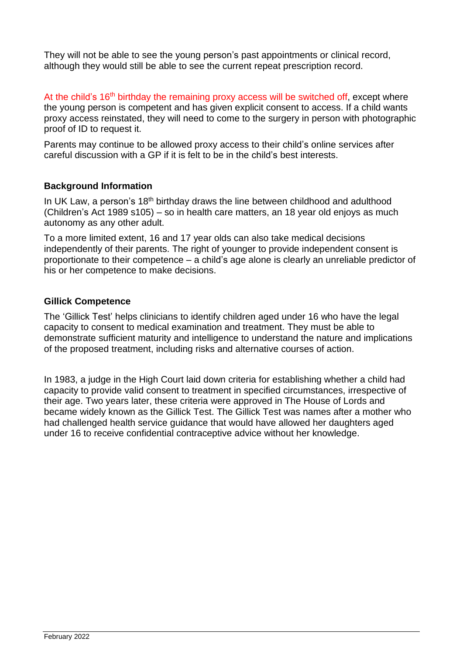They will not be able to see the young person's past appointments or clinical record, although they would still be able to see the current repeat prescription record.

At the child's  $16<sup>th</sup>$  birthday the remaining proxy access will be switched off, except where the young person is competent and has given explicit consent to access. If a child wants proxy access reinstated, they will need to come to the surgery in person with photographic proof of ID to request it.

Parents may continue to be allowed proxy access to their child's online services after careful discussion with a GP if it is felt to be in the child's best interests.

#### **Background Information**

In UK Law, a person's 18<sup>th</sup> birthday draws the line between childhood and adulthood (Children's Act 1989 s105) – so in health care matters, an 18 year old enjoys as much autonomy as any other adult.

To a more limited extent, 16 and 17 year olds can also take medical decisions independently of their parents. The right of younger to provide independent consent is proportionate to their competence – a child's age alone is clearly an unreliable predictor of his or her competence to make decisions.

#### **Gillick Competence**

The 'Gillick Test' helps clinicians to identify children aged under 16 who have the legal capacity to consent to medical examination and treatment. They must be able to demonstrate sufficient maturity and intelligence to understand the nature and implications of the proposed treatment, including risks and alternative courses of action.

In 1983, a judge in the High Court laid down criteria for establishing whether a child had capacity to provide valid consent to treatment in specified circumstances, irrespective of their age. Two years later, these criteria were approved in The House of Lords and became widely known as the Gillick Test. The Gillick Test was names after a mother who had challenged health service guidance that would have allowed her daughters aged under 16 to receive confidential contraceptive advice without her knowledge.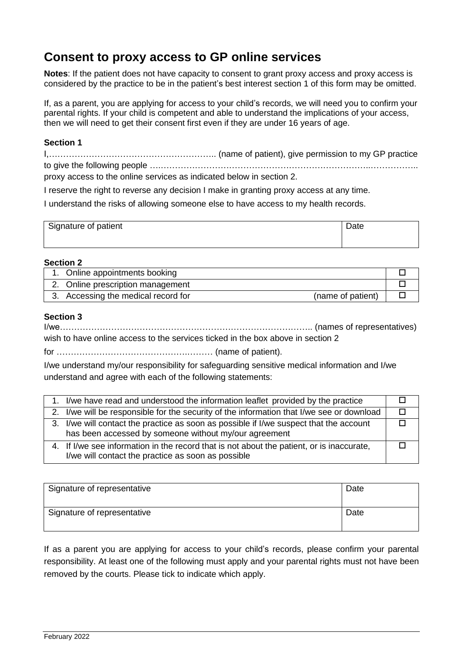## **Consent to proxy access to GP online services**

**Notes**: If the patient does not have capacity to consent to grant proxy access and proxy access is considered by the practice to be in the patient's best interest section 1 of this form may be omitted.

If, as a parent, you are applying for access to your child's records, we will need you to confirm your parental rights. If your child is competent and able to understand the implications of your access, then we will need to get their consent first even if they are under 16 years of age.

#### **Section 1**

I,………………………………………………….. (name of patient), give permission to my GP practice to give the following people ….………………………………………………………………..……………..

proxy access to the online services as indicated below in section 2.

I reserve the right to reverse any decision I make in granting proxy access at any time.

I understand the risks of allowing someone else to have access to my health records.

| Signature of patient | Date |
|----------------------|------|
|                      |      |

#### **Section 2**

| 1. Online appointments booking                           |  |
|----------------------------------------------------------|--|
| 2. Online prescription management                        |  |
| 3. Accessing the medical record for<br>(name of patient) |  |

#### **Section 3**

I/we…………………………………………………………………………….. (names of representatives) wish to have online access to the services ticked in the box above in section 2

for ……………………………………….……… (name of patient).

I/we understand my/our responsibility for safeguarding sensitive medical information and I/we understand and agree with each of the following statements:

| I/we have read and understood the information leaflet provided by the practice            |  |
|-------------------------------------------------------------------------------------------|--|
|                                                                                           |  |
| 2. I/we will be responsible for the security of the information that I/we see or download |  |
|                                                                                           |  |
| 3. I/we will contact the practice as soon as possible if I/we suspect that the account    |  |
| has been accessed by someone without my/our agreement                                     |  |
|                                                                                           |  |
| 4. If I/we see information in the record that is not about the patient, or is inaccurate, |  |
| I/we will contact the practice as soon as possible                                        |  |

| Signature of representative | Date |
|-----------------------------|------|
| Signature of representative | Date |

If as a parent you are applying for access to your child's records, please confirm your parental responsibility. At least one of the following must apply and your parental rights must not have been removed by the courts. Please tick to indicate which apply.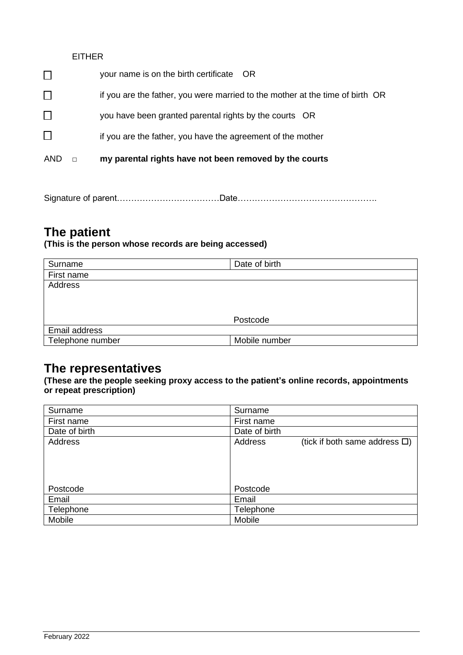### EITHER

|              | your name is on the birth certificate OR                                      |
|--------------|-------------------------------------------------------------------------------|
|              | if you are the father, you were married to the mother at the time of birth OR |
| $\perp$      | you have been granted parental rights by the courts OR                        |
| $\mathbf{L}$ | if you are the father, you have the agreement of the mother                   |
| AND          | my parental rights have not been removed by the courts                        |

Signature of parent………………………………Date………………………………………….

## **The patient**

### **(This is the person whose records are being accessed)**

| Surname          | Date of birth |
|------------------|---------------|
| First name       |               |
| Address          |               |
|                  |               |
|                  |               |
|                  | Postcode      |
| Email address    |               |
| Telephone number | Mobile number |

### **The representatives**

**(These are the people seeking proxy access to the patient's online records, appointments or repeat prescription)**

| Surname        | Surname                                           |
|----------------|---------------------------------------------------|
| First name     | First name                                        |
| Date of birth  | Date of birth                                     |
| <b>Address</b> | Address<br>(tick if both same address $\square$ ) |
|                |                                                   |
|                |                                                   |
|                |                                                   |
| Postcode       | Postcode                                          |
| Email          | Email                                             |
| Telephone      | Telephone                                         |
| Mobile         | Mobile                                            |